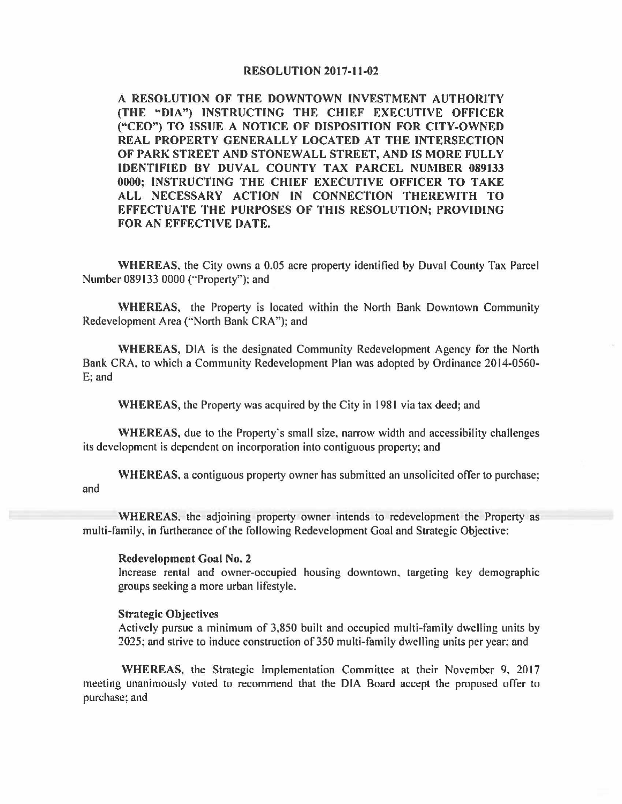## **RESOLUTION 2017-11-02**

**A RESOLUTION OF THE DOWNTOWN INVESTMENT AUTHORITY (THE "DIA") INSTRUCTING THE CHIEF EXECUTIVE OFFICER ("CEO'') TO ISSUE A NOTICE OF DISPOSITION FOR CITY-OWNED REAL PROPERTY GENERALLY LOCATED AT THE INTERSECTION OF PARK STREET AND STONEWALL STREET, AND IS MORE FULLY IDENTIFIED BY DUVAL COUNTY TAX PARCEL NUMBER 089133 0000; INSTRUCTING THE CHIEF EXECUTIVE OFFICER TO TAKE ALL NECESSARY ACTION IN CONNECTION THEREWITH TO EFFECTUATE THE PURPOSES OF THIS RESOLUTION; PROVIDING FOR AN EFFECTIVE DATE.** 

**WHEREAS.** the City owns a 0.05 acre property identified by Duval County Tax Parcel Number 089133 0000 ("'Property''): and

**WHEREAS,** the Property is located within the North Bank Downtown Community Redevelopment Area ("North Bank CRA"); and

**WHEREAS,** DIA is the designated Community Redevelopment Agency for the North Bank CRA, to which a Community Redevelopment Plan was adopted by Ordinance 2014-0560- E; and

**WHEREAS,** the Property was acquired by the City in 1981 via tax deed; and

**WHEREAS,** due to the Property's small size, narrow width and accessibility challenges its development is dependent on incorporation into contiguous property; and

**WHEREAS,** a contiguous property owner has submitted an unsolicited offer to purchase; and

**WHEREAS,** the adjoining property owner intends to redevelopment the Property as multi-family, in furtherance of the following Redevelopment Goal and Strategic Objective:

## **Redevelopment Goal No. 2**

Increase rental and owner-occupied housing downtown, targeting key demographic groups seeking a more urban lifestyle.

## **Strategic Objectives**

Actively pursue a minimum of 3,850 built and occupied multi-family dwelling units by 2025: and strive to induce construction of 350 multi-family dwelling units per year: and

**WHEREAS.** the Strategic Implementation Committee at their November 9, 2017 meeting unanimously voted to recommend that the DIA Board accept the proposed offer to purchase; and